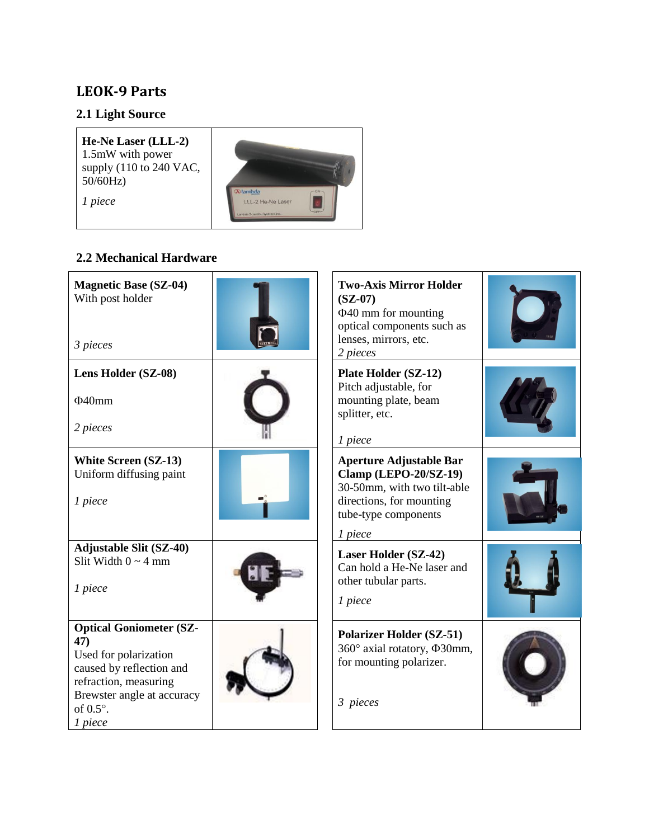## **LEOK-9 Parts**

# **2.1 Light Source**

| He-Ne Laser (LLL-2)<br>1.5mW with power<br>supply $(110 \text{ to } 240 \text{ VAC})$<br>50/60Hz<br>1 piece | <b>Dlambda</b><br>LLL-2 He-Ne Laser<br>Lambda Scientific Systems, Inc. |
|-------------------------------------------------------------------------------------------------------------|------------------------------------------------------------------------|
|-------------------------------------------------------------------------------------------------------------|------------------------------------------------------------------------|

## **2.2 Mechanical Hardware**

| <b>Magnetic Base (SZ-04)</b><br>With post holder<br>3 pieces                                                                                                                     | <b>Two-Axis Mirror Holder</b><br>$(SZ-07)$<br>$\Phi$ 40 mm for mounting<br>optical components such as<br>lenses, mirrors, etc.<br>2 pieces                   |  |
|----------------------------------------------------------------------------------------------------------------------------------------------------------------------------------|--------------------------------------------------------------------------------------------------------------------------------------------------------------|--|
| Lens Holder (SZ-08)<br>$\Phi$ 40mm<br>2 pieces                                                                                                                                   | <b>Plate Holder (SZ-12)</b><br>Pitch adjustable, for<br>mounting plate, beam<br>splitter, etc.<br>1 piece                                                    |  |
| <b>White Screen (SZ-13)</b><br>Uniform diffusing paint<br>1 piece                                                                                                                | <b>Aperture Adjustable Bar</b><br><b>Clamp (LEPO-20/SZ-19)</b><br>30-50mm, with two tilt-able<br>directions, for mounting<br>tube-type components<br>1 piece |  |
| <b>Adjustable Slit (SZ-40)</b><br>Slit Width $0 \sim 4$ mm<br>1 piece                                                                                                            | Laser Holder (SZ-42)<br>Can hold a He-Ne laser and<br>other tubular parts.<br>1 piece                                                                        |  |
| <b>Optical Goniometer (SZ-</b><br>47)<br>Used for polarization<br>caused by reflection and<br>refraction, measuring<br>Brewster angle at accuracy<br>of $0.5^\circ$ .<br>1 piece | <b>Polarizer Holder (SZ-51)</b><br>360° axial rotatory, $\Phi$ 30mm,<br>for mounting polarizer.<br>3 pieces                                                  |  |